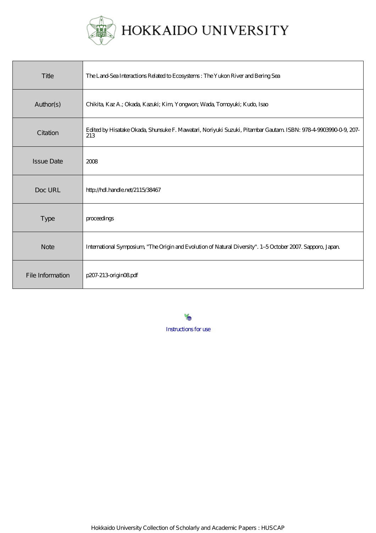

| Title             | The Land-Sea Interactions Related to Ecosystems: The Yukon River and Bering Sea                                       |
|-------------------|-----------------------------------------------------------------------------------------------------------------------|
| Author(s)         | Chikita, Kaz A.; Okada, Kazuki; Kim, Yongwon; Wada, Tomoyuki; Kudo, Isao                                              |
| Citation          | Edited by Hisatake Okada, Shunsuke F. Mawatari, Noriyuki Suzuki, Pitambar Gautam ISBN: 978-4-9003990-0-9, 207-<br>213 |
| <b>Issue Date</b> | 2008                                                                                                                  |
| Doc URL           | http://hdl.handle.net/2115/38467                                                                                      |
| <b>Type</b>       | proceedings                                                                                                           |
| <b>Note</b>       | International Symposium, "The Origin and Evolution of Natural Diversity". 1-5 October 2007. Sapporo, Japan            |
| File Information  | p207-213 origin08pdf                                                                                                  |

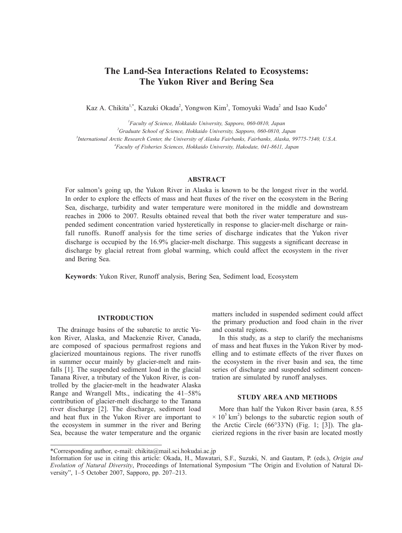# **The Land-Sea Interactions Related to Ecosystems: The Yukon River and Bering Sea**

Kaz A. Chikita<sup>1,\*</sup>, Kazuki Okada<sup>2</sup>, Yongwon Kim<sup>3</sup>, Tomoyuki Wada<sup>2</sup> and Isao Kudo<sup>4</sup>

 *Faculty of Science, Hokkaido University, Sapporo, 060-0810, Japan Graduate School of Science, Hokkaido University, Sapporo, 060-0810, Japan International Arctic Research Center, the University of Alaska Fairbanks, Fairbanks, Alaska, 99775-7340, U.S.A. Faculty of Fisheries Sciences, Hokkaido University, Hakodate, 041-8611, Japan*

## **ABSTRACT**

For salmon's going up, the Yukon River in Alaska is known to be the longest river in the world. In order to explore the effects of mass and heat fluxes of the river on the ecosystem in the Bering Sea, discharge, turbidity and water temperature were monitored in the middle and downstream reaches in 2006 to 2007. Results obtained reveal that both the river water temperature and suspended sediment concentration varied hysteretically in response to glacier-melt discharge or rainfall runoffs. Runoff analysis for the time series of discharge indicates that the Yukon river discharge is occupied by the 16.9% glacier-melt discharge. This suggests a significant decrease in discharge by glacial retreat from global warming, which could affect the ecosystem in the river and Bering Sea.

**Keywords**: Yukon River, Runoff analysis, Bering Sea, Sediment load, Ecosystem

## **INTRODUCTION**

The drainage basins of the subarctic to arctic Yukon River, Alaska, and Mackenzie River, Canada, are composed of spacious permafrost regions and glacierized mountainous regions. The river runoffs in summer occur mainly by glacier-melt and rainfalls [1]. The suspended sediment load in the glacial Tanana River, a tributary of the Yukon River, is controlled by the glacier-melt in the headwater Alaska Range and Wrangell Mts., indicating the 41–58% contribution of glacier-melt discharge to the Tanana river discharge [2]. The discharge, sediment load and heat flux in the Yukon River are important to the ecosystem in summer in the river and Bering Sea, because the water temperature and the organic

matters included in suspended sediment could affect the primary production and food chain in the river and coastal regions.

In this study, as a step to clarify the mechanisms of mass and heat fluxes in the Yukon River by modelling and to estimate effects of the river fluxes on the ecosystem in the river basin and sea, the time series of discharge and suspended sediment concentration are simulated by runoff analyses.

## **STUDY AREA AND METHODS**

More than half the Yukon River basin (area, 8.55  $\times$  10<sup>5</sup> km<sup>2</sup>) belongs to the subarctic region south of the Arctic Circle  $(66°33'N)$  (Fig. 1; [3]). The glacierized regions in the river basin are located mostly

<sup>\*</sup>Corresponding author, e-mail: chikita@mail.sci.hokudai.ac.jp

Information for use in citing this article: Okada, H., Mawatari, S.F., Suzuki, N. and Gautam, P. (eds.), *Origin and Evolution of Natural Diversity*, Proceedings of International Symposium "The Origin and Evolution of Natural Diversity", 1–5 October 2007, Sapporo, pp. 207–213.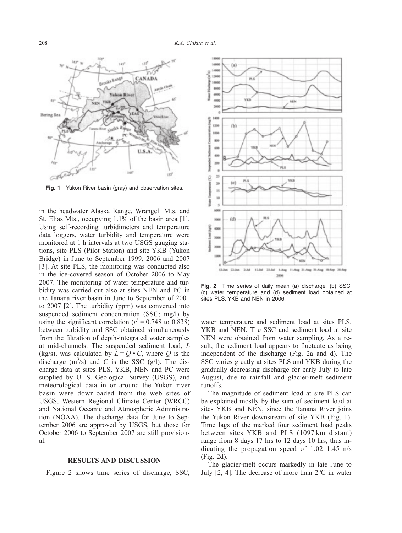

**Fig. 1** Yukon River basin (gray) and observation sites.

in the headwater Alaska Range, Wrangell Mts. and St. Elias Mts., occupying 1.1% of the basin area [1]. Using self-recording turbidimeters and temperature data loggers, water turbidity and temperature were monitored at 1 h intervals at two USGS gauging stations, site PLS (Pilot Station) and site YKB (Yukon Bridge) in June to September 1999, 2006 and 2007 [3]. At site PLS, the monitoring was conducted also in the ice-covered season of October 2006 to May 2007. The monitoring of water temperature and turbidity was carried out also at sites NEN and PC in the Tanana river basin in June to September of 2001 to 2007 [2]. The turbidity (ppm) was converted into suspended sediment concentration (SSC; mg/l) by using the significant correlation ( $r^2 = 0.748$  to 0.838) between turbidity and SSC obtained simultaneously from the filtration of depth-integrated water samples at mid-channels. The suspended sediment load, *L*  (kg/s), was calculated by  $L = Q \cdot C$ , where *Q* is the discharge  $(m^3/s)$  and *C* is the SSC (g/l). The discharge data at sites PLS, YKB, NEN and PC were supplied by U. S. Geological Survey (USGS), and meteorological data in or around the Yukon river basin were downloaded from the web sites of USGS, Western Regional Climate Center (WRCC) and National Oceanic and Atmospheric Administration (NOAA). The discharge data for June to September 2006 are approved by USGS, but those for October 2006 to September 2007 are still provisional.

#### **RESULTS AND DISCUSSION**

Figure 2 shows time series of discharge, SSC,



**Fig. 2** Time series of daily mean (a) discharge, (b) SSC, (c) water temperature and (d) sediment load obtained at sites PLS, YKB and NEN in 2006.

water temperature and sediment load at sites PLS, YKB and NEN. The SSC and sediment load at site NEN were obtained from water sampling. As a result, the sediment load appears to fluctuate as being independent of the discharge (Fig. 2a and d). The SSC varies greatly at sites PLS and YKB during the gradually decreasing discharge for early July to late August, due to rainfall and glacier-melt sediment runoffs.

The magnitude of sediment load at site PLS can be explained mostly by the sum of sediment load at sites YKB and NEN, since the Tanana River joins the Yukon River downstream of site YKB (Fig. 1). Time lags of the marked four sediment load peaks between sites YKB and PLS (1097 km distant) range from 8 days 17 hrs to 12 days 10 hrs, thus indicating the propagation speed of 1.02–1.45 m/s (Fig. 2d).

The glacier-melt occurs markedly in late June to July [2, 4]. The decrease of more than 2°C in water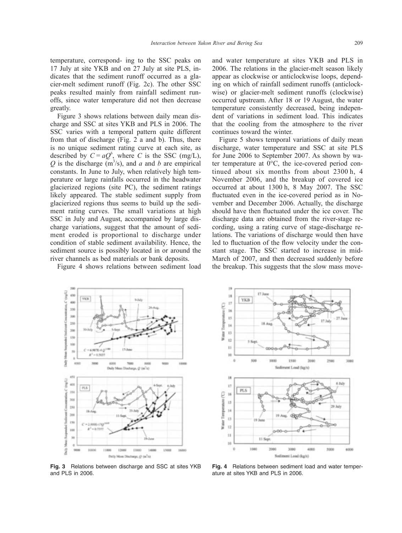$^{19}$ 

temperature, correspond- ing to the SSC peaks on 17 July at site YKB and on 27 July at site PLS, indicates that the sediment runoff occurred as a glacier-melt sediment runoff (Fig. 2c). The other SSC peaks resulted mainly from rainfall sediment runoffs, since water temperature did not then decrease greatly.

Figure 3 shows relations between daily mean discharge and SSC at sites YKB and PLS in 2006. The SSC varies with a temporal pattern quite different from that of discharge (Fig. 2 a and b). Thus, there is no unique sediment rating curve at each site, as described by  $C = aQ^b$ , where *C* is the SSC (mg/L),  $Q$  is the discharge (m<sup>3</sup>/s), and *a* and *b* are empirical constants. In June to July, when relatively high temperature or large rainfalls occurred in the headwater glacierized regions (site PC), the sediment ratings likely appeared. The stable sediment supply from glacierized regions thus seems to build up the sediment rating curves. The small variations at high SSC in July and August, accompanied by large discharge variations, suggest that the amount of sediment eroded is proportional to discharge under condition of stable sediment availability. Hence, the sediment source is possibly located in or around the river channels as bed materials or bank deposits.

Figure 4 shows relations between sediment load

and water temperature at sites YKB and PLS in 2006. The relations in the glacier-melt season likely appear as clockwise or anticlockwise loops, depending on which of rainfall sediment runoffs (anticlockwise) or glacier-melt sediment runoffs (clockwise) occurred upstream. After 18 or 19 August, the water temperature consistently decreased, being independent of variations in sediment load. This indicates that the cooling from the atmosphere to the river continues toward the winter.

Figure 5 shows temporal variations of daily mean discharge, water temperature and SSC at site PLS for June 2006 to September 2007. As shown by water temperature at 0°C, the ice-covered period continued about six months from about 2300 h, 4 November 2006, and the breakup of covered ice occurred at about 1300 h, 8 May 2007. The SSC fluctuated even in the ice-covered period as in November and December 2006. Actually, the discharge should have then fluctuated under the ice cover. The discharge data are obtained from the river-stage recording, using a rating curve of stage-discharge relations. The variations of discharge would then have led to fluctuation of the flow velocity under the constant stage. The SSC started to increase in mid-March of 2007, and then decreased suddenly before the breakup. This suggests that the slow mass move-



it is  $\mathbf{R}$ YKB  $^{12}$ Temperature (C)  $16$ 15 17.1  $\mathbf{H}$ Water?  $\bar{1}$  $12$  $\mathbf{H}$  $10$  $\ddot{q}$ 500 1000 1000 1500 2000 2500 Sediment Load (kg/s)  $18$ 6346  $\overline{1}$ PLS Water Temperature (C) 16  $15$ 14  $\bar{1}3$  $\overline{12}$ 'n 11 Sec  $10$ ö 1000 3000 5000 4000 6000 nt Load (kg/s)

**Fig. 3** Relations between discharge and SSC at sites YKB and PLS in 2006.

**Fig. 4** Relations between sediment load and water temperature at sites YKB and PLS in 2006.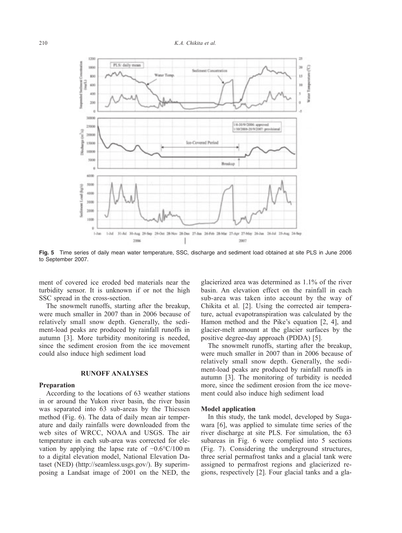

**Fig. 5** Time series of daily mean water temperature, SSC, discharge and sediment load obtained at site PLS in June 2006 to September 2007.

ment of covered ice eroded bed materials near the turbidity sensor. It is unknown if or not the high SSC spread in the cross-section.

The snowmelt runoffs, starting after the breakup, were much smaller in 2007 than in 2006 because of relatively small snow depth. Generally, the sediment-load peaks are produced by rainfall runoffs in autumn [3]. More turbidity monitoring is needed, since the sediment erosion from the ice movement could also induce high sediment load

#### **RUNOFF ANALYSES**

#### **Preparation**

According to the locations of 63 weather stations in or around the Yukon river basin, the river basin was separated into 63 sub-areas by the Thiessen method (Fig. 6). The data of daily mean air temperature and daily rainfalls were downloaded from the web sites of WRCC, NOAA and USGS. The air temperature in each sub-area was corrected for elevation by applying the lapse rate of −0.6°C/100 m to a digital elevation model, National Elevation Dataset (NED) (http://seamless.usgs.gov/). By superimposing a Landsat image of 2001 on the NED, the glacierized area was determined as 1.1% of the river basin. An elevation effect on the rainfall in each sub-area was taken into account by the way of Chikita et al. [2]. Using the corrected air temperature, actual evapotranspiration was calculated by the Hamon method and the Pike's equation [2, 4], and glacier-melt amount at the glacier surfaces by the positive degree-day approach (PDDA) [5].

The snowmelt runoffs, starting after the breakup, were much smaller in 2007 than in 2006 because of relatively small snow depth. Generally, the sediment-load peaks are produced by rainfall runoffs in autumn [3]. The monitoring of turbidity is needed more, since the sediment erosion from the ice movement could also induce high sediment load

#### **Model application**

In this study, the tank model, developed by Sugawara [6], was applied to simulate time series of the river discharge at site PLS. For simulation, the 63 subareas in Fig. 6 were complied into 5 sections (Fig. 7). Considering the underground structures, three serial permafrost tanks and a glacial tank were assigned to permafrost regions and glacierized regions, respectively [2]. Four glacial tanks and a gla-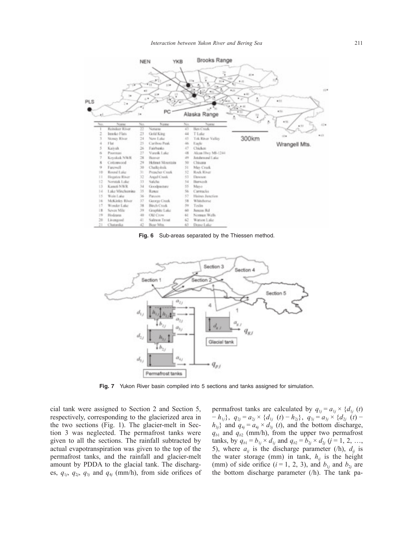

**Fig. 6** Sub-areas separated by the Thiessen method.



**Fig. 7** Yukon River basin compiled into 5 sections and tanks assigned for simulation.

cial tank were assigned to Section 2 and Section 5, respectively, corresponding to the glacierized area in the two sections (Fig. 1). The glacier-melt in Section 3 was neglected. The permafrost tanks were given to all the sections. The rainfall subtracted by actual evapotranspiration was given to the top of the permafrost tanks, and the rainfall and glacier-melt amount by PDDA to the glacial tank. The discharges,  $q_{1j}$ ,  $q_{2j}$ ,  $q_{3j}$  and  $q_{4j}$  (mm/h), from side orifices of

permafrost tanks are calculated by  $q_{1j} = a_{1j} \times \{d_{1j}(t)\}$  $-h_{1j}$ ,  $q_{2j} = a_{2j} \times \{d_{1j} \ (t) - h_{2j}\},\ q_{3j} = a_{3j} \times \{d_{2j} \ (t) - h_{3j}\}$  $h_{3j}$ } and  $q_{4j} = a_{4j} \times d_{3j}$  (*t*), and the bottom discharge,  $q_{b1}$  and  $q_{b2}$  (mm/h), from the upper two permafrost tanks, by  $q_{b1} = b_{1j} \times d_{1j}$  and  $q_{b2} = b_{2j} \times d_{2j}$  (*j* = 1, 2, …, 5), where  $a_{ij}$  is the discharge parameter (/h),  $d_{ij}$  is the water storage (mm) in tank,  $h_{ij}$  is the height (mm) of side orifice ( $i = 1, 2, 3$ ), and  $b_{1j}$  and  $b_{2j}$  are the bottom discharge parameter (/h). The tank pa-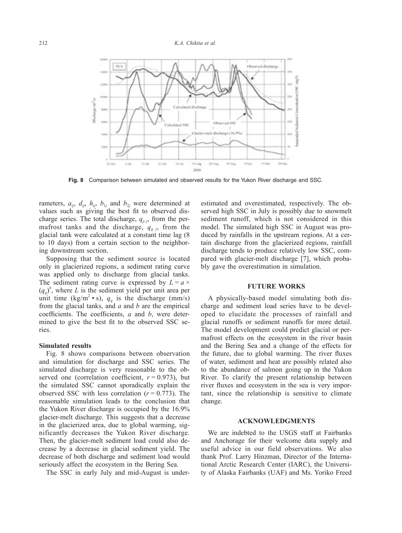

**Fig. 8** Comparison between simulated and observed results for the Yukon River discharge and SSC.

rameters,  $a_{ij}$ ,  $d_{ij}$ ,  $h_{ij}$ ,  $b_{1j}$  and  $b_{2j}$  were determined at values such as giving the best fit to observed discharge series. The total discharge,  $q_{p,i}$ , from the permafrost tanks and the discharge,  $q_{gj}$ , from the glacial tank were calculated at a constant time lag (8 to 10 days) from a certain section to the neighboring downstream section.

Supposing that the sediment source is located only in glacierized regions, a sediment rating curve was applied only to discharge from glacial tanks. The sediment rating curve is expressed by  $L = a \times$  $(q_g)^b$ , where *L* is the sediment yield per unit area per unit time (kg/m<sup>2</sup> • s),  $q_g$  is the discharge (mm/s) from the glacial tanks, and *a* and *b* are the empirical coefficients. The coefficients, *a* and *b*, were determined to give the best fit to the observed SSC series.

## **Simulated results**

Fig. 8 shows comparisons between observation and simulation for discharge and SSC series. The simulated discharge is very reasonable to the observed one (correlation coefficient,  $r = 0.973$ ), but the simulated SSC cannot sporadically explain the observed SSC with less correlation  $(r = 0.773)$ . The reasonable simulation leads to the conclusion that the Yukon River discharge is occupied by the 16.9% glacier-melt discharge. This suggests that a decrease in the glacierized area, due to global warming, significantly decreases the Yukon River discharge. Then, the glacier-melt sediment load could also decrease by a decrease in glacial sediment yield. The decrease of both discharge and sediment load would seriously affect the ecosystem in the Bering Sea.

The SSC in early July and mid-August is under-

estimated and overestimated, respectively. The observed high SSC in July is possibly due to snowmelt sediment runoff, which is not considered in this model. The simulated high SSC in August was produced by rainfalls in the upstream regions. At a certain discharge from the glacierized regions, rainfall discharge tends to produce relatively low SSC, compared with glacier-melt discharge [7], which probably gave the overestimation in simulation.

### **FUTURE WORKS**

A physically-based model simulating both discharge and sediment load series have to be developed to elucidate the processes of rainfall and glacial runoffs or sediment runoffs for more detail. The model development could predict glacial or permafrost effects on the ecosystem in the river basin and the Bering Sea and a change of the effects for the future, due to global warming. The river fluxes of water, sediment and heat are possibly related also to the abundance of salmon going up in the Yukon River. To clarify the present relationship between river fluxes and ecosystem in the sea is very important, since the relationship is sensitive to climate change.

### **ACKNOWLEDGMENTS**

We are indebted to the USGS staff at Fairbanks and Anchorage for their welcome data supply and useful advice in our field observations. We also thank Prof. Larry Hinzman, Director of the International Arctic Research Center (IARC), the University of Alaska Fairbanks (UAF) and Ms. Yoriko Freed